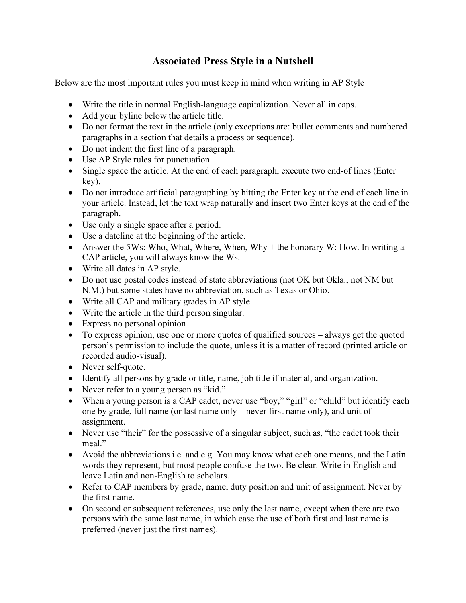## Associated Press Style in a Nutshell

Below are the most important rules you must keep in mind when writing in AP Style

- Write the title in normal English-language capitalization. Never all in caps.
- Add your byline below the article title.
- Do not format the text in the article (only exceptions are: bullet comments and numbered paragraphs in a section that details a process or sequence).
- Do not indent the first line of a paragraph.
- Use AP Style rules for punctuation.
- Single space the article. At the end of each paragraph, execute two end-of lines (Enter key).
- Do not introduce artificial paragraphing by hitting the Enter key at the end of each line in your article. Instead, let the text wrap naturally and insert two Enter keys at the end of the paragraph.
- Use only a single space after a period.
- Use a dateline at the beginning of the article.
- Answer the 5Ws: Who, What, Where, When, Why + the honorary W: How. In writing a CAP article, you will always know the Ws.
- Write all dates in AP style.
- Do not use postal codes instead of state abbreviations (not OK but Okla., not NM but N.M.) but some states have no abbreviation, such as Texas or Ohio.
- Write all CAP and military grades in AP style.
- Write the article in the third person singular.
- Express no personal opinion.
- To express opinion, use one or more quotes of qualified sources always get the quoted person's permission to include the quote, unless it is a matter of record (printed article or recorded audio-visual).
- Never self-quote.
- Identify all persons by grade or title, name, job title if material, and organization.
- Never refer to a young person as "kid."
- When a young person is a CAP cadet, never use "boy," "girl" or "child" but identify each one by grade, full name (or last name only – never first name only), and unit of assignment.
- Never use "their" for the possessive of a singular subject, such as, "the cadet took their meal."
- Avoid the abbreviations i.e. and e.g. You may know what each one means, and the Latin words they represent, but most people confuse the two. Be clear. Write in English and leave Latin and non-English to scholars.
- Refer to CAP members by grade, name, duty position and unit of assignment. Never by the first name.
- On second or subsequent references, use only the last name, except when there are two persons with the same last name, in which case the use of both first and last name is preferred (never just the first names).